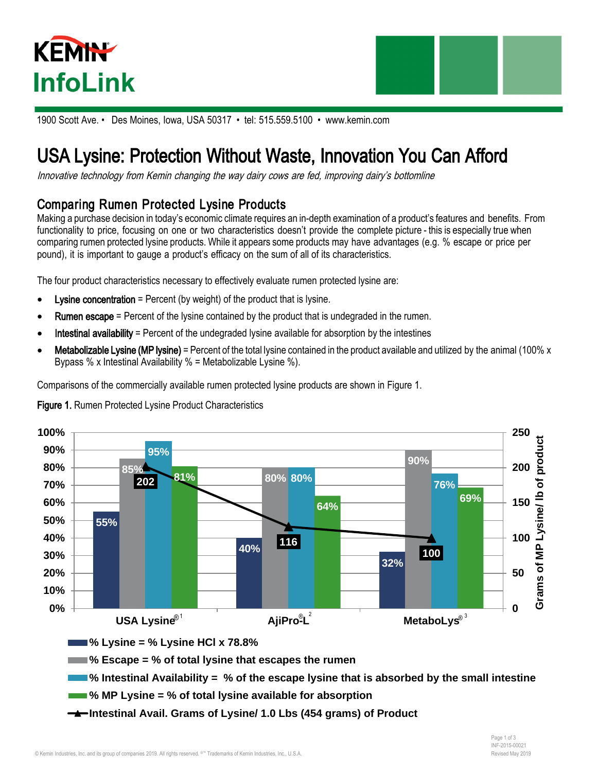



1900 Scott Ave. • Des Moines, Iowa, USA 50317 • tel: 515.559.5100 • www.kemin.com

## USA Lysine: Protection Without Waste, Innovation You Can Afford

Innovative technology from Kemin changing the way dairy cows are fed, improving dairy's bottomline

## Comparing Rumen Protected Lysine Products

Making a purchase decision in today's economic climate requires an in-depth examination of a product's features and benefits. From functionality to price, focusing on one or two characteristics doesn't provide the complete picture - this is especially true when comparing rumen protected lysine products. While it appears some products may have advantages (e.g. % escape or price per pound), it is important to gauge a product's efficacy on the sum of all of its characteristics.

The four product characteristics necessary to effectively evaluate rumen protected lysine are:

- **Lysine concentration** = Percent (by weight) of the product that is lysine.
- **Rumen escape** = Percent of the lysine contained by the product that is undegraded in the rumen.
- Intestinal availability = Percent of the undegraded lysine available for absorption by the intestines
- **Metabolizable Lysine (MP lysine)** = Percent of the total lysine contained in the product available and utilized by the animal (100% x Bypass % x Intestinal Availability % = Metabolizable Lysine %).

Comparisons of the commercially available rumen protected lysine products are shown in Figure 1.





**% Escape = % of total lysine that escapes the rumen**



- **% MP Lysine = % of total lysine available for absorption**
- **Intestinal Avail. Grams of Lysine/ 1.0 Lbs (454 grams) of Product**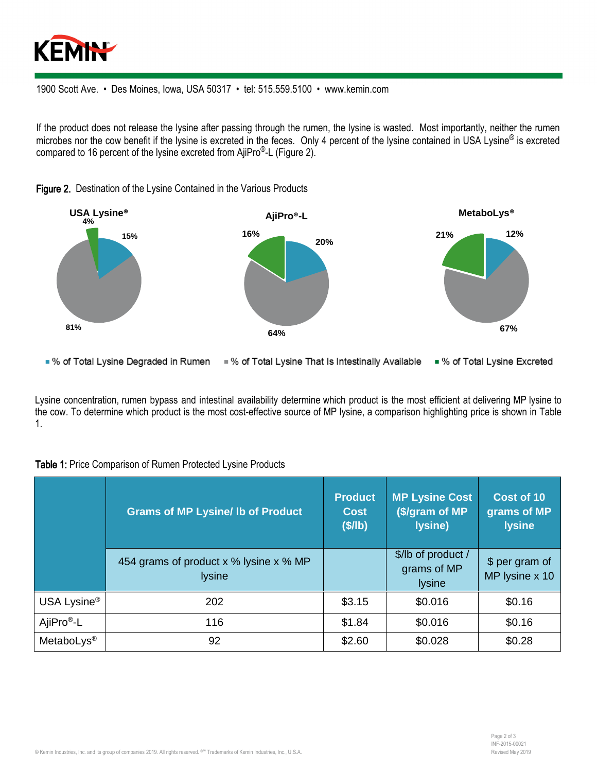

1900 Scott Ave. • Des Moines, Iowa, USA 50317 • tel: 515.559.5100 • www.kemin.com

If the product does not release the lysine after passing through the rumen, the lysine is wasted. Most importantly, neither the rumen microbes nor the cow benefit if the lysine is excreted in the feces. Only 4 percent of the lysine contained in USA Lysine<sup>®</sup> is excreted compared to 16 percent of the lysine excreted from AjiPro®-L (Figure 2).



Figure 2. Destination of the Lysine Contained in the Various Products

■ % of Total Lysine Degraded in Rumen ■ % of Total Lysine That Is Intestinally Available ■ % of Total Lysine Excreted

Lysine concentration, rumen bypass and intestinal availability determine which product is the most efficient at delivering MP lysine to the cow. To determine which product is the most cost-effective source of MP lysine, a comparison highlighting price is shown in Table 1.

|                         | <b>Grams of MP Lysine/ Ib of Product</b>                | <b>Product</b><br><b>Cost</b><br>$($I\rightarrow\mathbb{R})$ | <b>MP Lysine Cost</b><br>(\$/gram of MP<br>lysine) | Cost of 10<br>grams of MP<br><b>lysine</b> |
|-------------------------|---------------------------------------------------------|--------------------------------------------------------------|----------------------------------------------------|--------------------------------------------|
|                         | 454 grams of product x % lysine x % MP<br><b>lysine</b> |                                                              | \$/lb of product /<br>grams of MP<br><b>lysine</b> | \$ per gram of<br>MP lysine x 10           |
| USA Lysine <sup>®</sup> | 202                                                     | \$3.15                                                       | \$0.016                                            | \$0.16                                     |
| AjiPro <sup>®</sup> -L  | 116                                                     | \$1.84                                                       | \$0.016                                            | \$0.16                                     |
| MetaboLys <sup>®</sup>  | 92                                                      | \$2.60                                                       | \$0.028                                            | \$0.28                                     |

Table 1: Price Comparison of Rumen Protected Lysine Products